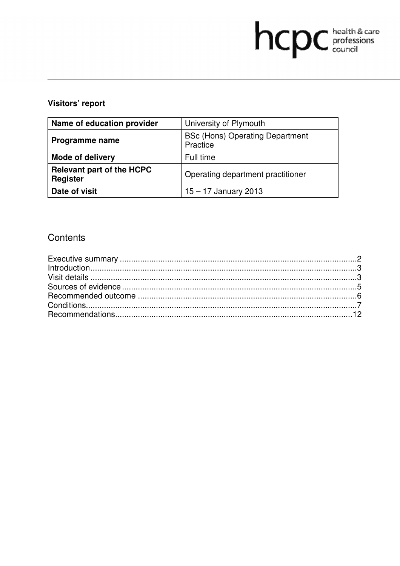# hcpc health & care

# Visitors' report

| Name of education provider                          | University of Plymouth                             |
|-----------------------------------------------------|----------------------------------------------------|
| Programme name                                      | <b>BSc (Hons) Operating Department</b><br>Practice |
| <b>Mode of delivery</b>                             | Full time                                          |
| <b>Relevant part of the HCPC</b><br><b>Register</b> | Operating department practitioner                  |
| Date of visit                                       | $15 - 17$ January 2013                             |

# Contents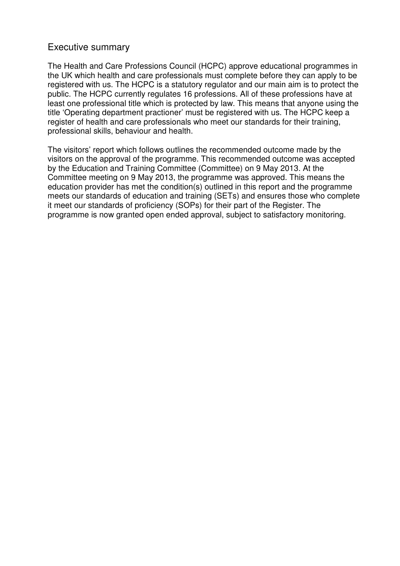# Executive summary

The Health and Care Professions Council (HCPC) approve educational programmes in the UK which health and care professionals must complete before they can apply to be registered with us. The HCPC is a statutory regulator and our main aim is to protect the public. The HCPC currently regulates 16 professions. All of these professions have at least one professional title which is protected by law. This means that anyone using the title 'Operating department practioner' must be registered with us. The HCPC keep a register of health and care professionals who meet our standards for their training, professional skills, behaviour and health.

The visitors' report which follows outlines the recommended outcome made by the visitors on the approval of the programme. This recommended outcome was accepted by the Education and Training Committee (Committee) on 9 May 2013. At the Committee meeting on 9 May 2013, the programme was approved. This means the education provider has met the condition(s) outlined in this report and the programme meets our standards of education and training (SETs) and ensures those who complete it meet our standards of proficiency (SOPs) for their part of the Register. The programme is now granted open ended approval, subject to satisfactory monitoring.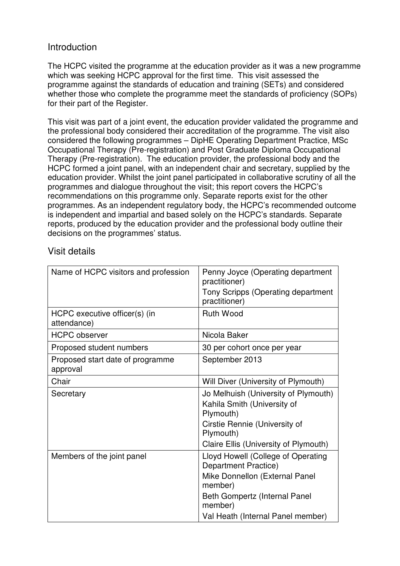# Introduction

The HCPC visited the programme at the education provider as it was a new programme which was seeking HCPC approval for the first time. This visit assessed the programme against the standards of education and training (SETs) and considered whether those who complete the programme meet the standards of proficiency (SOPs) for their part of the Register.

This visit was part of a joint event, the education provider validated the programme and the professional body considered their accreditation of the programme. The visit also considered the following programmes – DipHE Operating Department Practice, MSc Occupational Therapy (Pre-registration) and Post Graduate Diploma Occupational Therapy (Pre-registration). The education provider, the professional body and the HCPC formed a joint panel, with an independent chair and secretary, supplied by the education provider. Whilst the joint panel participated in collaborative scrutiny of all the programmes and dialogue throughout the visit; this report covers the HCPC's recommendations on this programme only. Separate reports exist for the other programmes. As an independent regulatory body, the HCPC's recommended outcome is independent and impartial and based solely on the HCPC's standards. Separate reports, produced by the education provider and the professional body outline their decisions on the programmes' status.

# Visit details

| Name of HCPC visitors and profession         | Penny Joyce (Operating department<br>practitioner)<br>Tony Scripps (Operating department<br>practitioner)                                                                                |
|----------------------------------------------|------------------------------------------------------------------------------------------------------------------------------------------------------------------------------------------|
| HCPC executive officer(s) (in<br>attendance) | <b>Ruth Wood</b>                                                                                                                                                                         |
| <b>HCPC</b> observer                         | Nicola Baker                                                                                                                                                                             |
| Proposed student numbers                     | 30 per cohort once per year                                                                                                                                                              |
| Proposed start date of programme<br>approval | September 2013                                                                                                                                                                           |
| Chair                                        | Will Diver (University of Plymouth)                                                                                                                                                      |
| Secretary                                    | Jo Melhuish (University of Plymouth)<br>Kahila Smith (University of<br>Plymouth)<br>Cirstie Rennie (University of<br>Plymouth)<br>Claire Ellis (University of Plymouth)                  |
| Members of the joint panel                   | Lloyd Howell (College of Operating<br>Department Practice)<br>Mike Donnellon (External Panel<br>member)<br>Beth Gompertz (Internal Panel<br>member)<br>Val Heath (Internal Panel member) |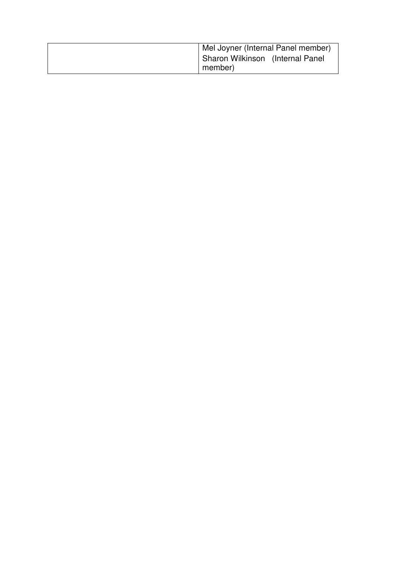| Mel Joyner (Internal Panel member) |  |  |
|------------------------------------|--|--|
| Sharon Wilkinson (Internal Panel   |  |  |
| member)                            |  |  |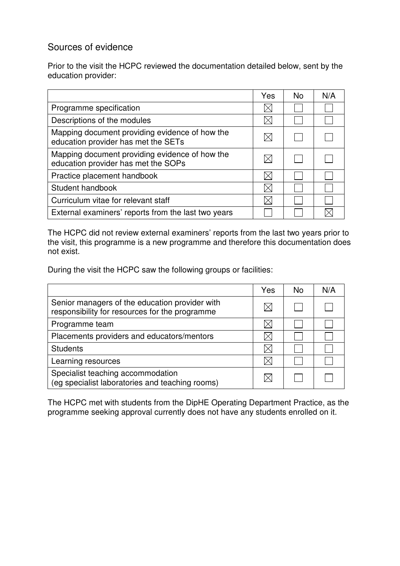# Sources of evidence

Prior to the visit the HCPC reviewed the documentation detailed below, sent by the education provider:

|                                                                                       | Yes | <b>No</b> | N/A |
|---------------------------------------------------------------------------------------|-----|-----------|-----|
| Programme specification                                                               |     |           |     |
| Descriptions of the modules                                                           |     |           |     |
| Mapping document providing evidence of how the<br>education provider has met the SETs |     |           |     |
| Mapping document providing evidence of how the<br>education provider has met the SOPs |     |           |     |
| Practice placement handbook                                                           |     |           |     |
| Student handbook                                                                      |     |           |     |
| Curriculum vitae for relevant staff                                                   |     |           |     |
| External examiners' reports from the last two years                                   |     |           |     |

The HCPC did not review external examiners' reports from the last two years prior to the visit, this programme is a new programme and therefore this documentation does not exist.

During the visit the HCPC saw the following groups or facilities:

|                                                                                                  | Yes | <b>No</b> | N/A |
|--------------------------------------------------------------------------------------------------|-----|-----------|-----|
| Senior managers of the education provider with<br>responsibility for resources for the programme |     |           |     |
| Programme team                                                                                   |     |           |     |
| Placements providers and educators/mentors                                                       |     |           |     |
| <b>Students</b>                                                                                  |     |           |     |
| Learning resources                                                                               |     |           |     |
| Specialist teaching accommodation<br>(eg specialist laboratories and teaching rooms)             |     |           |     |

The HCPC met with students from the DipHE Operating Department Practice, as the programme seeking approval currently does not have any students enrolled on it.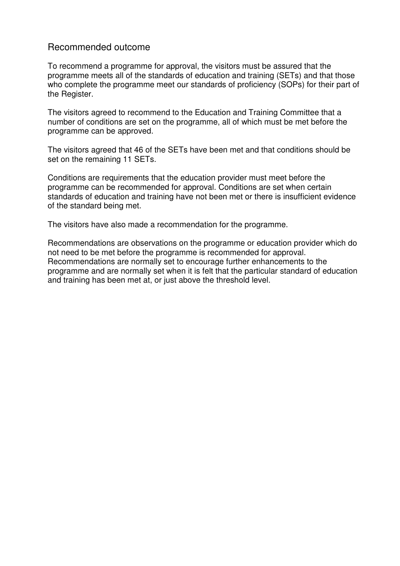# Recommended outcome

To recommend a programme for approval, the visitors must be assured that the programme meets all of the standards of education and training (SETs) and that those who complete the programme meet our standards of proficiency (SOPs) for their part of the Register.

The visitors agreed to recommend to the Education and Training Committee that a number of conditions are set on the programme, all of which must be met before the programme can be approved.

The visitors agreed that 46 of the SETs have been met and that conditions should be set on the remaining 11 SETs.

Conditions are requirements that the education provider must meet before the programme can be recommended for approval. Conditions are set when certain standards of education and training have not been met or there is insufficient evidence of the standard being met.

The visitors have also made a recommendation for the programme.

Recommendations are observations on the programme or education provider which do not need to be met before the programme is recommended for approval. Recommendations are normally set to encourage further enhancements to the programme and are normally set when it is felt that the particular standard of education and training has been met at, or just above the threshold level.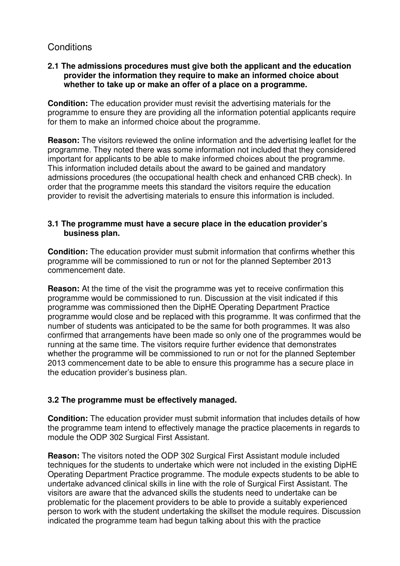# **Conditions**

## **2.1 The admissions procedures must give both the applicant and the education provider the information they require to make an informed choice about whether to take up or make an offer of a place on a programme.**

**Condition:** The education provider must revisit the advertising materials for the programme to ensure they are providing all the information potential applicants require for them to make an informed choice about the programme.

**Reason:** The visitors reviewed the online information and the advertising leaflet for the programme. They noted there was some information not included that they considered important for applicants to be able to make informed choices about the programme. This information included details about the award to be gained and mandatory admissions procedures (the occupational health check and enhanced CRB check). In order that the programme meets this standard the visitors require the education provider to revisit the advertising materials to ensure this information is included.

## **3.1 The programme must have a secure place in the education provider's business plan.**

**Condition:** The education provider must submit information that confirms whether this programme will be commissioned to run or not for the planned September 2013 commencement date.

**Reason:** At the time of the visit the programme was yet to receive confirmation this programme would be commissioned to run. Discussion at the visit indicated if this programme was commissioned then the DipHE Operating Department Practice programme would close and be replaced with this programme. It was confirmed that the number of students was anticipated to be the same for both programmes. It was also confirmed that arrangements have been made so only one of the programmes would be running at the same time. The visitors require further evidence that demonstrates whether the programme will be commissioned to run or not for the planned September 2013 commencement date to be able to ensure this programme has a secure place in the education provider's business plan.

## **3.2 The programme must be effectively managed.**

**Condition:** The education provider must submit information that includes details of how the programme team intend to effectively manage the practice placements in regards to module the ODP 302 Surgical First Assistant.

**Reason:** The visitors noted the ODP 302 Surgical First Assistant module included techniques for the students to undertake which were not included in the existing DipHE Operating Department Practice programme. The module expects students to be able to undertake advanced clinical skills in line with the role of Surgical First Assistant. The visitors are aware that the advanced skills the students need to undertake can be problematic for the placement providers to be able to provide a suitably experienced person to work with the student undertaking the skillset the module requires. Discussion indicated the programme team had begun talking about this with the practice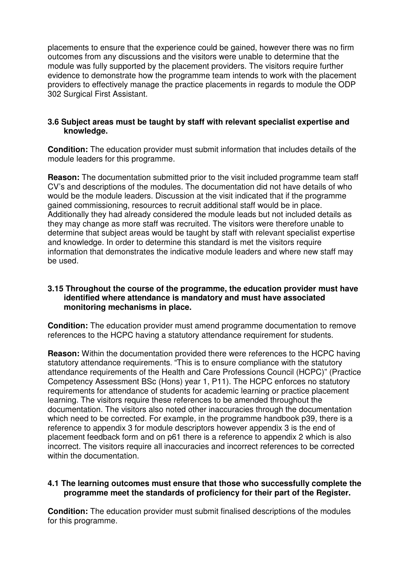placements to ensure that the experience could be gained, however there was no firm outcomes from any discussions and the visitors were unable to determine that the module was fully supported by the placement providers. The visitors require further evidence to demonstrate how the programme team intends to work with the placement providers to effectively manage the practice placements in regards to module the ODP 302 Surgical First Assistant.

## **3.6 Subject areas must be taught by staff with relevant specialist expertise and knowledge.**

**Condition:** The education provider must submit information that includes details of the module leaders for this programme.

**Reason:** The documentation submitted prior to the visit included programme team staff CV's and descriptions of the modules. The documentation did not have details of who would be the module leaders. Discussion at the visit indicated that if the programme gained commissioning, resources to recruit additional staff would be in place. Additionally they had already considered the module leads but not included details as they may change as more staff was recruited. The visitors were therefore unable to determine that subject areas would be taught by staff with relevant specialist expertise and knowledge. In order to determine this standard is met the visitors require information that demonstrates the indicative module leaders and where new staff may be used.

#### **3.15 Throughout the course of the programme, the education provider must have identified where attendance is mandatory and must have associated monitoring mechanisms in place.**

**Condition:** The education provider must amend programme documentation to remove references to the HCPC having a statutory attendance requirement for students.

**Reason:** Within the documentation provided there were references to the HCPC having statutory attendance requirements. "This is to ensure compliance with the statutory attendance requirements of the Health and Care Professions Council (HCPC)" (Practice Competency Assessment BSc (Hons) year 1, P11). The HCPC enforces no statutory requirements for attendance of students for academic learning or practice placement learning. The visitors require these references to be amended throughout the documentation. The visitors also noted other inaccuracies through the documentation which need to be corrected. For example, in the programme handbook p39, there is a reference to appendix 3 for module descriptors however appendix 3 is the end of placement feedback form and on p61 there is a reference to appendix 2 which is also incorrect. The visitors require all inaccuracies and incorrect references to be corrected within the documentation.

#### **4.1 The learning outcomes must ensure that those who successfully complete the programme meet the standards of proficiency for their part of the Register.**

**Condition:** The education provider must submit finalised descriptions of the modules for this programme.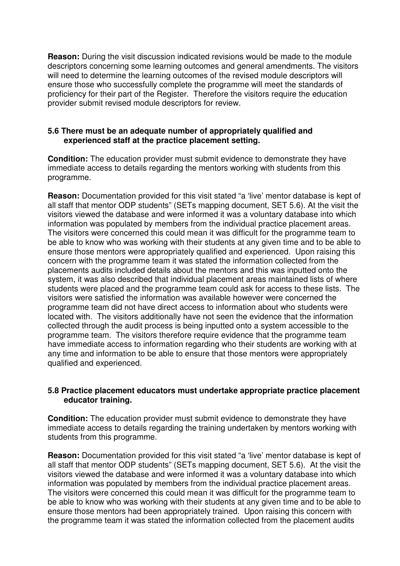**Reason:** During the visit discussion indicated revisions would be made to the module descriptors concerning some learning outcomes and general amendments. The visitors will need to determine the learning outcomes of the revised module descriptors will ensure those who successfully complete the programme will meet the standards of proficiency for their part of the Register. Therefore the visitors require the education provider submit revised module descriptors for review.

#### **5.6 There must be an adequate number of appropriately qualified and experienced staff at the practice placement setting.**

**Condition:** The education provider must submit evidence to demonstrate they have immediate access to details regarding the mentors working with students from this programme.

**Reason:** Documentation provided for this visit stated "a 'live' mentor database is kept of all staff that mentor ODP students" (SETs mapping document, SET 5.6). At the visit the visitors viewed the database and were informed it was a voluntary database into which information was populated by members from the individual practice placement areas. The visitors were concerned this could mean it was difficult for the programme team to be able to know who was working with their students at any given time and to be able to ensure those mentors were appropriately qualified and experienced. Upon raising this concern with the programme team it was stated the information collected from the placements audits included details about the mentors and this was inputted onto the system, it was also described that individual placement areas maintained lists of where students were placed and the programme team could ask for access to these lists. The visitors were satisfied the information was available however were concerned the programme team did not have direct access to information about who students were located with. The visitors additionally have not seen the evidence that the information collected through the audit process is being inputted onto a system accessible to the programme team. The visitors therefore require evidence that the programme team have immediate access to information regarding who their students are working with at any time and information to be able to ensure that those mentors were appropriately qualified and experienced.

#### **5.8 Practice placement educators must undertake appropriate practice placement educator training.**

**Condition:** The education provider must submit evidence to demonstrate they have immediate access to details regarding the training undertaken by mentors working with students from this programme.

**Reason:** Documentation provided for this visit stated "a 'live' mentor database is kept of all staff that mentor ODP students" (SETs mapping document, SET 5.6). At the visit the visitors viewed the database and were informed it was a voluntary database into which information was populated by members from the individual practice placement areas. The visitors were concerned this could mean it was difficult for the programme team to be able to know who was working with their students at any given time and to be able to ensure those mentors had been appropriately trained. Upon raising this concern with the programme team it was stated the information collected from the placement audits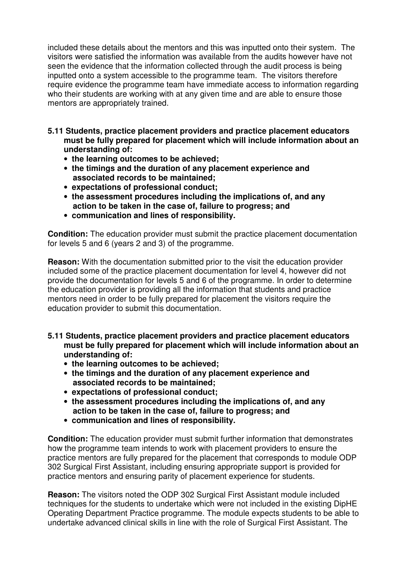included these details about the mentors and this was inputted onto their system. The visitors were satisfied the information was available from the audits however have not seen the evidence that the information collected through the audit process is being inputted onto a system accessible to the programme team. The visitors therefore require evidence the programme team have immediate access to information regarding who their students are working with at any given time and are able to ensure those mentors are appropriately trained.

- **5.11 Students, practice placement providers and practice placement educators must be fully prepared for placement which will include information about an understanding of:** 
	- **the learning outcomes to be achieved;**
	- **the timings and the duration of any placement experience and associated records to be maintained;**
	- **expectations of professional conduct;**
	- **the assessment procedures including the implications of, and any action to be taken in the case of, failure to progress; and**
	- **communication and lines of responsibility.**

**Condition:** The education provider must submit the practice placement documentation for levels 5 and 6 (years 2 and 3) of the programme.

**Reason:** With the documentation submitted prior to the visit the education provider included some of the practice placement documentation for level 4, however did not provide the documentation for levels 5 and 6 of the programme. In order to determine the education provider is providing all the information that students and practice mentors need in order to be fully prepared for placement the visitors require the education provider to submit this documentation.

- **5.11 Students, practice placement providers and practice placement educators must be fully prepared for placement which will include information about an understanding of:** 
	- **the learning outcomes to be achieved;**
	- **the timings and the duration of any placement experience and associated records to be maintained;**
	- **expectations of professional conduct;**
	- **the assessment procedures including the implications of, and any action to be taken in the case of, failure to progress; and**
	- **communication and lines of responsibility.**

**Condition:** The education provider must submit further information that demonstrates how the programme team intends to work with placement providers to ensure the practice mentors are fully prepared for the placement that corresponds to module ODP 302 Surgical First Assistant, including ensuring appropriate support is provided for practice mentors and ensuring parity of placement experience for students.

**Reason:** The visitors noted the ODP 302 Surgical First Assistant module included techniques for the students to undertake which were not included in the existing DipHE Operating Department Practice programme. The module expects students to be able to undertake advanced clinical skills in line with the role of Surgical First Assistant. The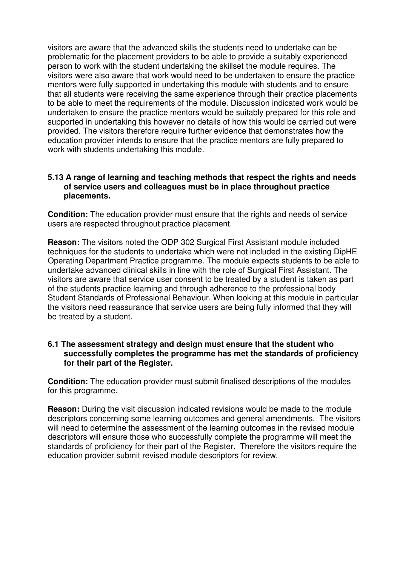visitors are aware that the advanced skills the students need to undertake can be problematic for the placement providers to be able to provide a suitably experienced person to work with the student undertaking the skillset the module requires. The visitors were also aware that work would need to be undertaken to ensure the practice mentors were fully supported in undertaking this module with students and to ensure that all students were receiving the same experience through their practice placements to be able to meet the requirements of the module. Discussion indicated work would be undertaken to ensure the practice mentors would be suitably prepared for this role and supported in undertaking this however no details of how this would be carried out were provided. The visitors therefore require further evidence that demonstrates how the education provider intends to ensure that the practice mentors are fully prepared to work with students undertaking this module.

#### **5.13 A range of learning and teaching methods that respect the rights and needs of service users and colleagues must be in place throughout practice placements.**

**Condition:** The education provider must ensure that the rights and needs of service users are respected throughout practice placement.

**Reason:** The visitors noted the ODP 302 Surgical First Assistant module included techniques for the students to undertake which were not included in the existing DipHE Operating Department Practice programme. The module expects students to be able to undertake advanced clinical skills in line with the role of Surgical First Assistant. The visitors are aware that service user consent to be treated by a student is taken as part of the students practice learning and through adherence to the professional body Student Standards of Professional Behaviour. When looking at this module in particular the visitors need reassurance that service users are being fully informed that they will be treated by a student.

#### **6.1 The assessment strategy and design must ensure that the student who successfully completes the programme has met the standards of proficiency for their part of the Register.**

**Condition:** The education provider must submit finalised descriptions of the modules for this programme.

**Reason:** During the visit discussion indicated revisions would be made to the module descriptors concerning some learning outcomes and general amendments. The visitors will need to determine the assessment of the learning outcomes in the revised module descriptors will ensure those who successfully complete the programme will meet the standards of proficiency for their part of the Register. Therefore the visitors require the education provider submit revised module descriptors for review.